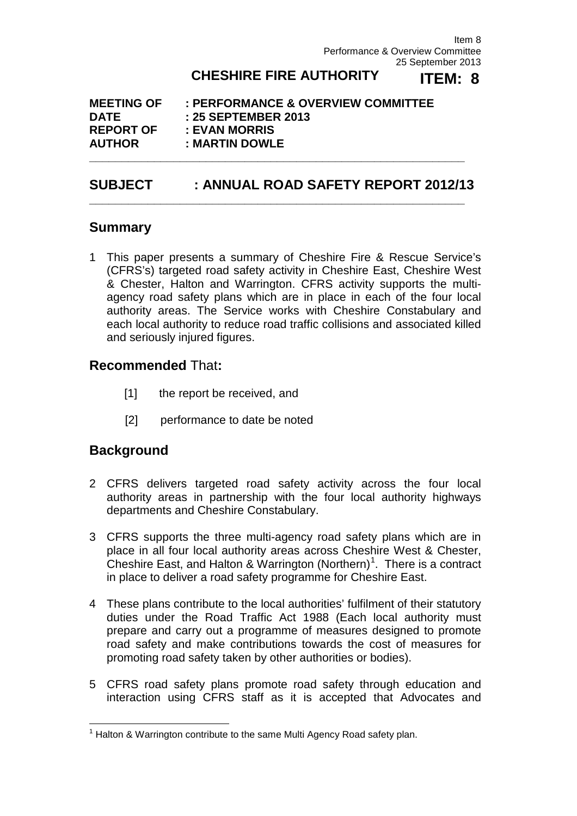Item 8 Performance & Overview Committee 25 September 2013

#### **CHESHIRE FIRE AUTHORITY ITEM: 8**

| <b>MEETING OF</b> | : PERFORMANCE & OVERVIEW COMMITTEE |
|-------------------|------------------------------------|
| <b>DATE</b>       | : 25 SEPTEMBER 2013                |
| <b>REPORT OF</b>  | : EVAN MORRIS                      |
| <b>AUTHOR</b>     | : MARTIN DOWLE                     |

# **SUBJECT : ANNUAL ROAD SAFETY REPORT 2012/13**

**\_\_\_\_\_\_\_\_\_\_\_\_\_\_\_\_\_\_\_\_\_\_\_\_\_\_\_\_\_\_\_\_\_\_\_\_\_\_\_\_\_\_\_\_\_\_\_\_\_\_\_\_\_\_\_\_\_\_**

**\_\_\_\_\_\_\_\_\_\_\_\_\_\_\_\_\_\_\_\_\_\_\_\_\_\_\_\_\_\_\_\_\_\_\_\_\_\_\_\_\_\_\_\_\_\_\_\_\_\_\_\_\_\_\_\_\_\_**

# **Summary**

1 This paper presents a summary of Cheshire Fire & Rescue Service's (CFRS's) targeted road safety activity in Cheshire East, Cheshire West & Chester, Halton and Warrington. CFRS activity supports the multiagency road safety plans which are in place in each of the four local authority areas. The Service works with Cheshire Constabulary and each local authority to reduce road traffic collisions and associated killed and seriously injured figures.

# **Recommended** That**:**

- [1] the report be received, and
- [2] performance to date be noted

# **Background**

- 2 CFRS delivers targeted road safety activity across the four local authority areas in partnership with the four local authority highways departments and Cheshire Constabulary.
- 3 CFRS supports the three multi-agency road safety plans which are in place in all four local authority areas across Cheshire West & Chester, Cheshire East, and Halton & Warrington (Northern)<sup>[1](#page-0-0)</sup>. There is a contract in place to deliver a road safety programme for Cheshire East.
- 4 These plans contribute to the local authorities' fulfilment of their statutory duties under the Road Traffic Act 1988 (Each local authority must prepare and carry out a programme of measures designed to promote road safety and make contributions towards the cost of measures for promoting road safety taken by other authorities or bodies).
- 5 CFRS road safety plans promote road safety through education and interaction using CFRS staff as it is accepted that Advocates and

<span id="page-0-0"></span> $1$  Halton & Warrington contribute to the same Multi Agency Road safety plan.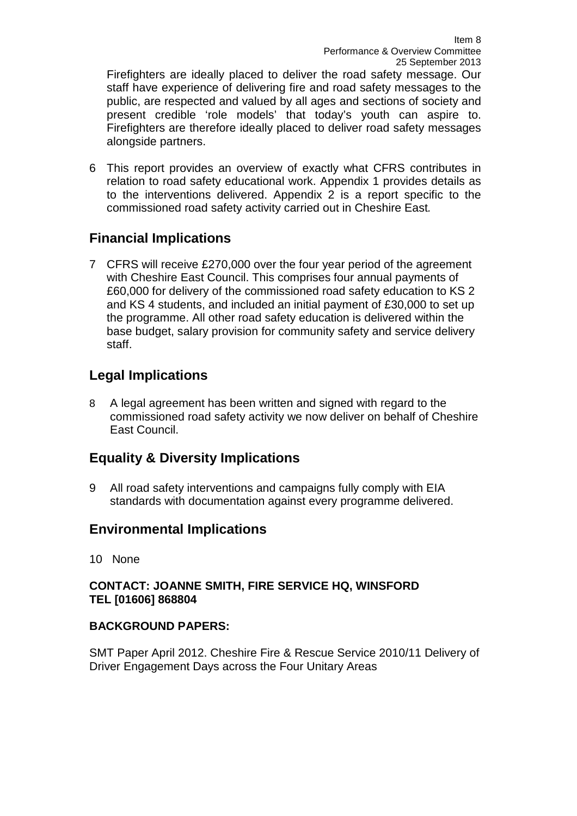Firefighters are ideally placed to deliver the road safety message. Our staff have experience of delivering fire and road safety messages to the public, are respected and valued by all ages and sections of society and present credible 'role models' that today's youth can aspire to. Firefighters are therefore ideally placed to deliver road safety messages alongside partners.

6 This report provides an overview of exactly what CFRS contributes in relation to road safety educational work. Appendix 1 provides details as to the interventions delivered. Appendix 2 is a report specific to the commissioned road safety activity carried out in Cheshire East*.*

# **Financial Implications**

7 CFRS will receive £270,000 over the four year period of the agreement with Cheshire East Council. This comprises four annual payments of £60,000 for delivery of the commissioned road safety education to KS 2 and KS 4 students, and included an initial payment of £30,000 to set up the programme. All other road safety education is delivered within the base budget, salary provision for community safety and service delivery staff.

# **Legal Implications**

8 A legal agreement has been written and signed with regard to the commissioned road safety activity we now deliver on behalf of Cheshire East Council.

# **Equality & Diversity Implications**

9 All road safety interventions and campaigns fully comply with EIA standards with documentation against every programme delivered.

# **Environmental Implications**

10None

# **CONTACT: JOANNE SMITH, FIRE SERVICE HQ, WINSFORD TEL [01606] 868804**

# **BACKGROUND PAPERS:**

SMT Paper April 2012. Cheshire Fire & Rescue Service 2010/11 Delivery of Driver Engagement Days across the Four Unitary Areas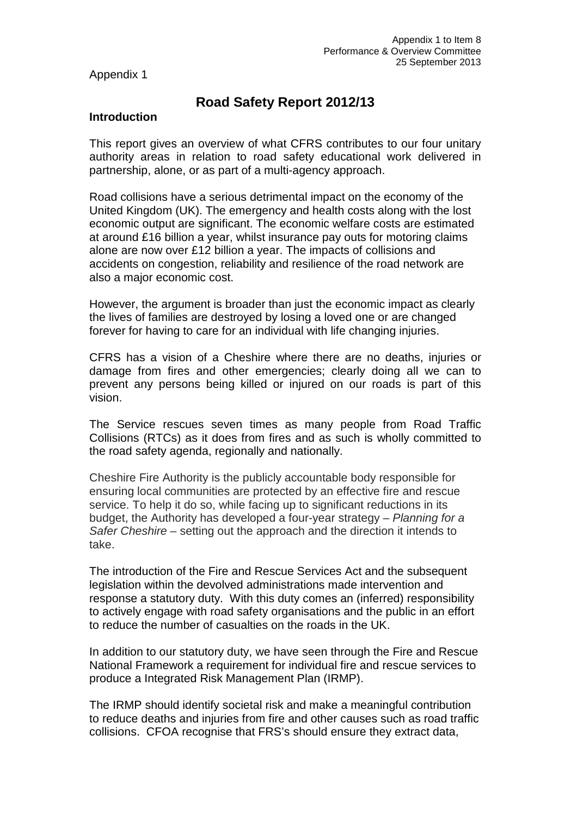Appendix 1

# **Road Safety Report 2012/13**

#### **Introduction**

This report gives an overview of what CFRS contributes to our four unitary authority areas in relation to road safety educational work delivered in partnership, alone, or as part of a multi-agency approach.

Road collisions have a serious detrimental impact on the economy of the United Kingdom (UK). The emergency and health costs along with the lost economic output are significant. The economic welfare costs are estimated at around £16 billion a year, whilst insurance pay outs for motoring claims alone are now over £12 billion a year. The impacts of collisions and accidents on congestion, reliability and resilience of the road network are also a major economic cost.

However, the argument is broader than just the economic impact as clearly the lives of families are destroyed by losing a loved one or are changed forever for having to care for an individual with life changing injuries.

CFRS has a vision of a Cheshire where there are no deaths, injuries or damage from fires and other emergencies; clearly doing all we can to prevent any persons being killed or injured on our roads is part of this vision.

The Service rescues seven times as many people from Road Traffic Collisions (RTCs) as it does from fires and as such is wholly committed to the road safety agenda, regionally and nationally.

Cheshire Fire Authority is the publicly accountable body responsible for ensuring local communities are protected by an effective fire and rescue service. To help it do so, while facing up to significant reductions in its budget, the Authority has developed a four-year strategy – *Planning for a Safer Cheshire* – setting out the approach and the direction it intends to take.

The introduction of the Fire and Rescue Services Act and the subsequent legislation within the devolved administrations made intervention and response a statutory duty. With this duty comes an (inferred) responsibility to actively engage with road safety organisations and the public in an effort to reduce the number of casualties on the roads in the UK.

In addition to our statutory duty, we have seen through the Fire and Rescue National Framework a requirement for individual fire and rescue services to produce a Integrated Risk Management Plan (IRMP).

The IRMP should identify societal risk and make a meaningful contribution to reduce deaths and injuries from fire and other causes such as road traffic collisions. CFOA recognise that FRS's should ensure they extract data,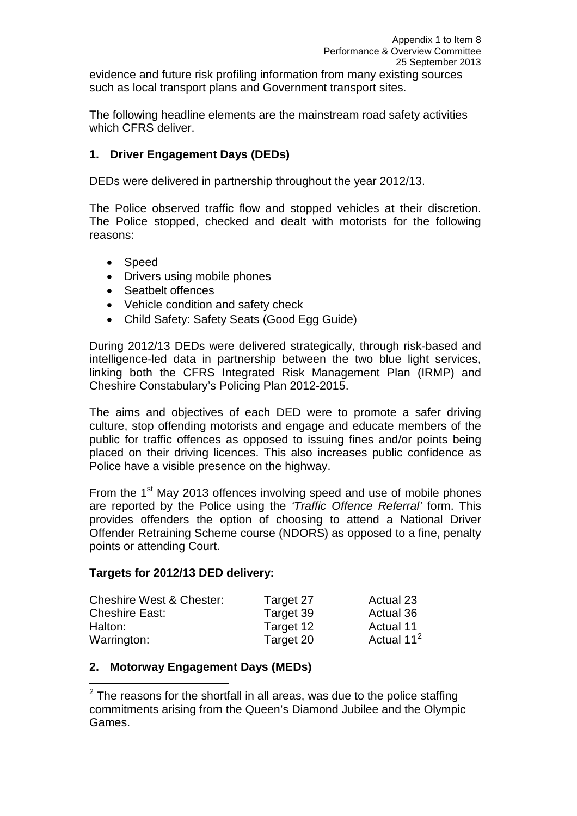evidence and future risk profiling information from many existing sources such as local transport plans and Government transport sites.

The following headline elements are the mainstream road safety activities which CFRS deliver.

# **1. Driver Engagement Days (DEDs)**

DEDs were delivered in partnership throughout the year 2012/13.

The Police observed traffic flow and stopped vehicles at their discretion. The Police stopped, checked and dealt with motorists for the following reasons:

- Speed
- Drivers using mobile phones
- Seatbelt offences
- Vehicle condition and safety check
- Child Safety: Safety Seats (Good Egg Guide)

During 2012/13 DEDs were delivered strategically, through risk-based and intelligence-led data in partnership between the two blue light services, linking both the CFRS Integrated Risk Management Plan (IRMP) and Cheshire Constabulary's Policing Plan 2012-2015.

The aims and objectives of each DED were to promote a safer driving culture, stop offending motorists and engage and educate members of the public for traffic offences as opposed to issuing fines and/or points being placed on their driving licences. This also increases public confidence as Police have a visible presence on the highway.

From the 1<sup>st</sup> May 2013 offences involving speed and use of mobile phones are reported by the Police using the *'Traffic Offence Referral'* form. This provides offenders the option of choosing to attend a National Driver Offender Retraining Scheme course (NDORS) as opposed to a fine, penalty points or attending Court.

#### **Targets for 2012/13 DED delivery:**

| <b>Cheshire West &amp; Chester:</b> | Target 27 | Actual 23              |
|-------------------------------------|-----------|------------------------|
| <b>Cheshire East:</b>               | Target 39 | Actual 36              |
| Halton:                             | Target 12 | Actual 11              |
| Warrington:                         | Target 20 | Actual 11 <sup>2</sup> |

# **2. Motorway Engagement Days (MEDs)**

<span id="page-3-0"></span> $2$  The reasons for the shortfall in all areas, was due to the police staffing commitments arising from the Queen's Diamond Jubilee and the Olympic Games.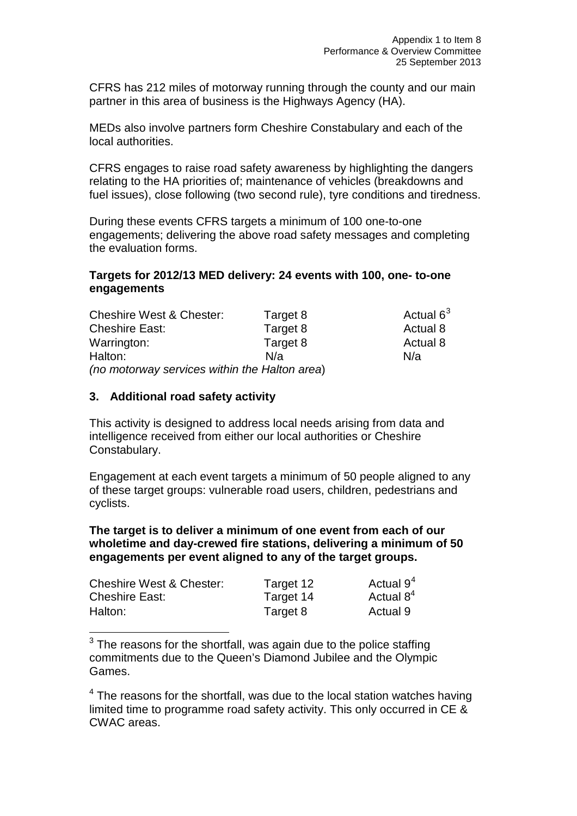CFRS has 212 miles of motorway running through the county and our main partner in this area of business is the Highways Agency (HA).

MEDs also involve partners form Cheshire Constabulary and each of the local authorities.

CFRS engages to raise road safety awareness by highlighting the dangers relating to the HA priorities of; maintenance of vehicles (breakdowns and fuel issues), close following (two second rule), tyre conditions and tiredness.

During these events CFRS targets a minimum of 100 one-to-one engagements; delivering the above road safety messages and completing the evaluation forms.

# **Targets for 2012/13 MED delivery: 24 events with 100, one- to-one engagements**

| <b>Cheshire West &amp; Chester:</b>           | Target 8 | Actual 6 <sup>3</sup> |
|-----------------------------------------------|----------|-----------------------|
| <b>Cheshire East:</b>                         | Target 8 | Actual 8              |
| Warrington:                                   | Target 8 | Actual 8              |
| Halton:                                       | N/a      | N/a                   |
| (no motorway services within the Halton area) |          |                       |

#### **3. Additional road safety activity**

This activity is designed to address local needs arising from data and intelligence received from either our local authorities or Cheshire Constabulary.

Engagement at each event targets a minimum of 50 people aligned to any of these target groups: vulnerable road users, children, pedestrians and cyclists.

**The target is to deliver a minimum of one event from each of our wholetime and day-crewed fire stations, delivering a minimum of 50 engagements per event aligned to any of the target groups.**

| <b>Cheshire West &amp; Chester:</b> | Target 12 | Actual $94$  |
|-------------------------------------|-----------|--------------|
| <b>Cheshire East:</b>               | Target 14 | Actual $8^4$ |
| Halton:                             | Target 8  | Actual 9     |

<span id="page-4-0"></span> $3$  The reasons for the shortfall, was again due to the police staffing commitments due to the Queen's Diamond Jubilee and the Olympic Games.

<span id="page-4-1"></span> $4$  The reasons for the shortfall, was due to the local station watches having limited time to programme road safety activity. This only occurred in CE & CWAC areas.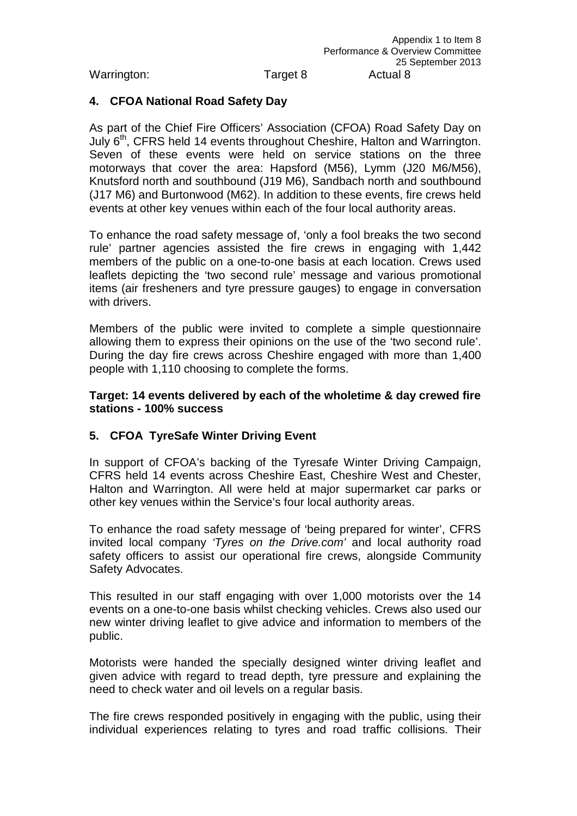# **4. CFOA National Road Safety Day**

As part of the Chief Fire Officers' Association (CFOA) Road Safety Day on July 6<sup>th</sup>, CFRS held 14 events throughout Cheshire, Halton and Warrington. Seven of these events were held on service stations on the three motorways that cover the area: Hapsford (M56), Lymm (J20 M6/M56), Knutsford north and southbound (J19 M6), Sandbach north and southbound (J17 M6) and Burtonwood (M62). In addition to these events, fire crews held events at other key venues within each of the four local authority areas.

To enhance the road safety message of, 'only a fool breaks the two second rule' partner agencies assisted the fire crews in engaging with 1,442 members of the public on a one-to-one basis at each location. Crews used leaflets depicting the 'two second rule' message and various promotional items (air fresheners and tyre pressure gauges) to engage in conversation with drivers.

Members of the public were invited to complete a simple questionnaire allowing them to express their opinions on the use of the 'two second rule'. During the day fire crews across Cheshire engaged with more than 1,400 people with 1,110 choosing to complete the forms.

#### **Target: 14 events delivered by each of the wholetime & day crewed fire stations - 100% success**

# **5. CFOA TyreSafe Winter Driving Event**

In support of CFOA's backing of the Tyresafe Winter Driving Campaign, CFRS held 14 events across Cheshire East, Cheshire West and Chester, Halton and Warrington. All were held at major supermarket car parks or other key venues within the Service's four local authority areas.

To enhance the road safety message of 'being prepared for winter', CFRS invited local company *'Tyres on the Drive.com'* and local authority road safety officers to assist our operational fire crews, alongside Community Safety Advocates.

This resulted in our staff engaging with over 1,000 motorists over the 14 events on a one-to-one basis whilst checking vehicles. Crews also used our new winter driving leaflet to give advice and information to members of the public.

Motorists were handed the specially designed winter driving leaflet and given advice with regard to tread depth, tyre pressure and explaining the need to check water and oil levels on a regular basis.

The fire crews responded positively in engaging with the public, using their individual experiences relating to tyres and road traffic collisions. Their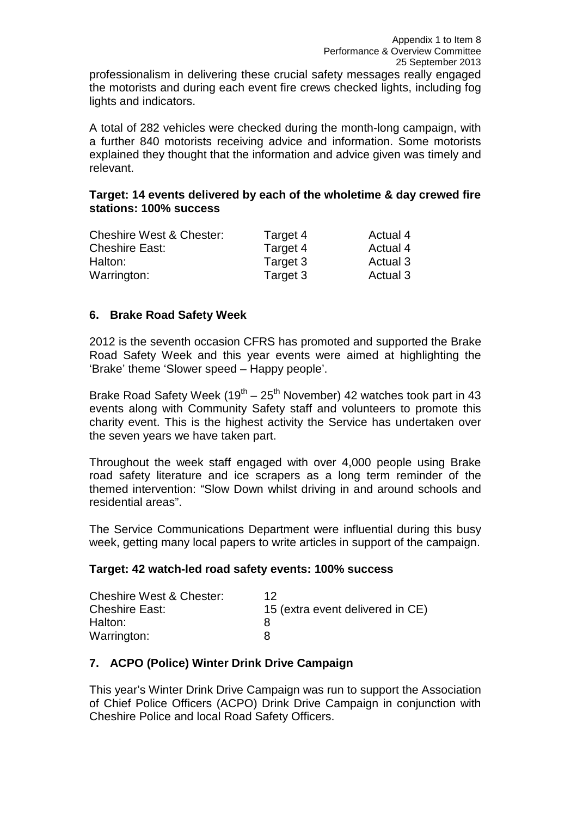professionalism in delivering these crucial safety messages really engaged the motorists and during each event fire crews checked lights, including fog lights and indicators.

A total of 282 vehicles were checked during the month-long campaign, with a further 840 motorists receiving advice and information. Some motorists explained they thought that the information and advice given was timely and relevant.

# **Target: 14 events delivered by each of the wholetime & day crewed fire stations: 100% success**

| <b>Cheshire West &amp; Chester:</b> | Target 4 | Actual 4 |
|-------------------------------------|----------|----------|
| <b>Cheshire East:</b>               | Target 4 | Actual 4 |
| Halton:                             | Target 3 | Actual 3 |
| Warrington:                         | Target 3 | Actual 3 |

# **6. Brake Road Safety Week**

2012 is the seventh occasion CFRS has promoted and supported the Brake Road Safety Week and this year events were aimed at highlighting the 'Brake' theme 'Slower speed – Happy people'.

Brake Road Safety Week  $(19<sup>th</sup> – 25<sup>th</sup>$  November) 42 watches took part in 43 events along with Community Safety staff and volunteers to promote this charity event. This is the highest activity the Service has undertaken over the seven years we have taken part.

Throughout the week staff engaged with over 4,000 people using Brake road safety literature and ice scrapers as a long term reminder of the themed intervention: "Slow Down whilst driving in and around schools and residential areas".

The Service Communications Department were influential during this busy week, getting many local papers to write articles in support of the campaign.

# **Target: 42 watch-led road safety events: 100% success**

| <b>Cheshire West &amp; Chester:</b> | 12                               |
|-------------------------------------|----------------------------------|
| <b>Cheshire East:</b>               | 15 (extra event delivered in CE) |
| Halton:                             |                                  |
| Warrington:                         |                                  |

# **7. ACPO (Police) Winter Drink Drive Campaign**

This year's Winter Drink Drive Campaign was run to support the Association of Chief Police Officers (ACPO) Drink Drive Campaign in conjunction with Cheshire Police and local Road Safety Officers.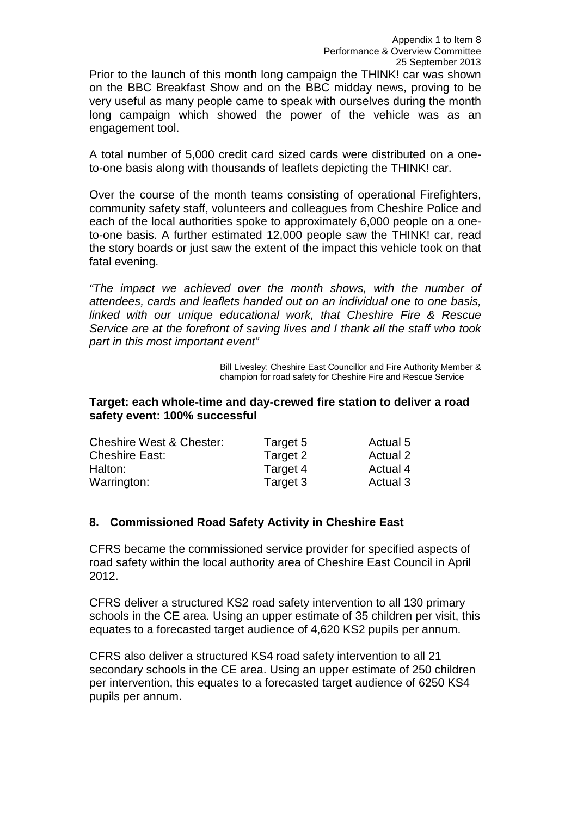Prior to the launch of this month long campaign the THINK! car was shown on the BBC Breakfast Show and on the BBC midday news, proving to be very useful as many people came to speak with ourselves during the month long campaign which showed the power of the vehicle was as an engagement tool.

A total number of 5,000 credit card sized cards were distributed on a oneto-one basis along with thousands of leaflets depicting the THINK! car.

Over the course of the month teams consisting of operational Firefighters, community safety staff, volunteers and colleagues from Cheshire Police and each of the local authorities spoke to approximately 6,000 people on a oneto-one basis. A further estimated 12,000 people saw the THINK! car, read the story boards or just saw the extent of the impact this vehicle took on that fatal evening.

*"The impact we achieved over the month shows, with the number of attendees, cards and leaflets handed out on an individual one to one basis, linked with our unique educational work, that Cheshire Fire & Rescue Service are at the forefront of saving lives and I thank all the staff who took part in this most important event"*

> Bill Livesley: Cheshire East Councillor and Fire Authority Member & champion for road safety for Cheshire Fire and Rescue Service

#### **Target: each whole-time and day-crewed fire station to deliver a road safety event: 100% successful**

| <b>Cheshire West &amp; Chester:</b> | Target 5 | Actual 5 |
|-------------------------------------|----------|----------|
| <b>Cheshire East:</b>               | Target 2 | Actual 2 |
| Halton:                             | Target 4 | Actual 4 |
| Warrington:                         | Target 3 | Actual 3 |

# **8. Commissioned Road Safety Activity in Cheshire East**

CFRS became the commissioned service provider for specified aspects of road safety within the local authority area of Cheshire East Council in April 2012.

CFRS deliver a structured KS2 road safety intervention to all 130 primary schools in the CE area. Using an upper estimate of 35 children per visit, this equates to a forecasted target audience of 4,620 KS2 pupils per annum.

CFRS also deliver a structured KS4 road safety intervention to all 21 secondary schools in the CE area. Using an upper estimate of 250 children per intervention, this equates to a forecasted target audience of 6250 KS4 pupils per annum.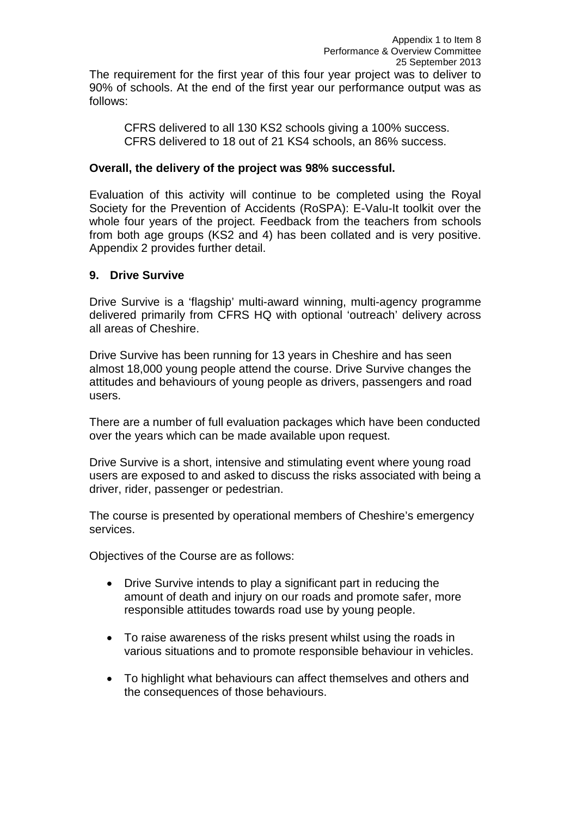CFRS delivered to all 130 KS2 schools giving a 100% success. CFRS delivered to 18 out of 21 KS4 schools, an 86% success.

#### **Overall, the delivery of the project was 98% successful.**

Evaluation of this activity will continue to be completed using the Royal Society for the Prevention of Accidents (RoSPA): E-Valu-It toolkit over the whole four years of the project. Feedback from the teachers from schools from both age groups (KS2 and 4) has been collated and is very positive. Appendix 2 provides further detail.

# **9. Drive Survive**

follows:

Drive Survive is a 'flagship' multi-award winning, multi-agency programme delivered primarily from CFRS HQ with optional 'outreach' delivery across all areas of Cheshire.

Drive Survive has been running for 13 years in Cheshire and has seen almost 18,000 young people attend the course. Drive Survive changes the attitudes and behaviours of young people as drivers, passengers and road users.

There are a number of full evaluation packages which have been conducted over the years which can be made available upon request.

Drive Survive is a short, intensive and stimulating event where young road users are exposed to and asked to discuss the risks associated with being a driver, rider, passenger or pedestrian.

The course is presented by operational members of Cheshire's emergency services.

Objectives of the Course are as follows:

- Drive Survive intends to play a significant part in reducing the amount of death and injury on our roads and promote safer, more responsible attitudes towards road use by young people.
- To raise awareness of the risks present whilst using the roads in various situations and to promote responsible behaviour in vehicles.
- To highlight what behaviours can affect themselves and others and the consequences of those behaviours.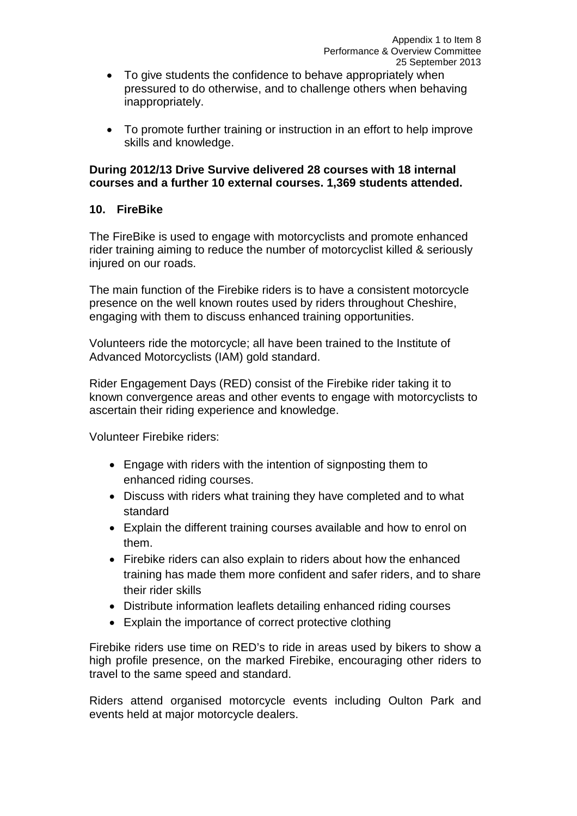- To give students the confidence to behave appropriately when pressured to do otherwise, and to challenge others when behaving inappropriately.
- To promote further training or instruction in an effort to help improve skills and knowledge.

#### **During 2012/13 Drive Survive delivered 28 courses with 18 internal courses and a further 10 external courses. 1,369 students attended.**

# **10. FireBike**

The FireBike is used to engage with motorcyclists and promote enhanced rider training aiming to reduce the number of motorcyclist killed & seriously injured on our roads.

The main function of the Firebike riders is to have a consistent motorcycle presence on the well known routes used by riders throughout Cheshire, engaging with them to discuss enhanced training opportunities.

Volunteers ride the motorcycle; all have been trained to the Institute of Advanced Motorcyclists (IAM) gold standard.

Rider Engagement Days (RED) consist of the Firebike rider taking it to known convergence areas and other events to engage with motorcyclists to ascertain their riding experience and knowledge.

Volunteer Firebike riders:

- Engage with riders with the intention of signposting them to enhanced riding courses.
- Discuss with riders what training they have completed and to what standard
- Explain the different training courses available and how to enrol on them.
- Firebike riders can also explain to riders about how the enhanced training has made them more confident and safer riders, and to share their rider skills
- Distribute information leaflets detailing enhanced riding courses
- Explain the importance of correct protective clothing

Firebike riders use time on RED's to ride in areas used by bikers to show a high profile presence, on the marked Firebike, encouraging other riders to travel to the same speed and standard.

Riders attend organised motorcycle events including Oulton Park and events held at major motorcycle dealers.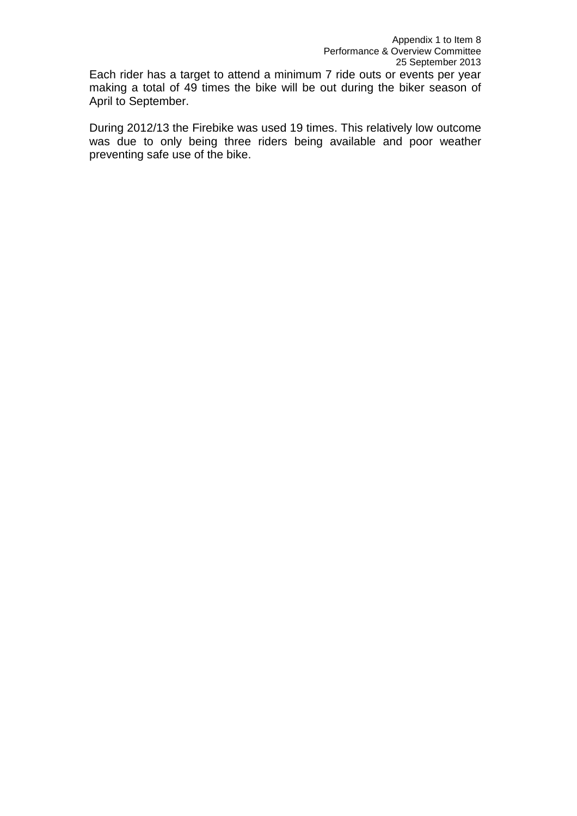Each rider has a target to attend a minimum 7 ride outs or events per year making a total of 49 times the bike will be out during the biker season of April to September.

During 2012/13 the Firebike was used 19 times. This relatively low outcome was due to only being three riders being available and poor weather preventing safe use of the bike.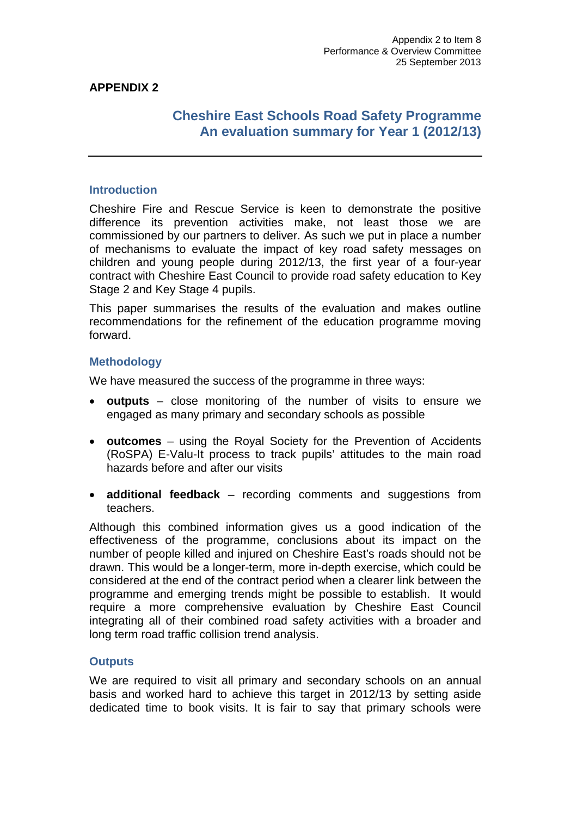# **APPENDIX 2**

# **Cheshire East Schools Road Safety Programme An evaluation summary for Year 1 (2012/13)**

# **Introduction**

Cheshire Fire and Rescue Service is keen to demonstrate the positive difference its prevention activities make, not least those we are commissioned by our partners to deliver. As such we put in place a number of mechanisms to evaluate the impact of key road safety messages on children and young people during 2012/13, the first year of a four-year contract with Cheshire East Council to provide road safety education to Key Stage 2 and Key Stage 4 pupils.

This paper summarises the results of the evaluation and makes outline recommendations for the refinement of the education programme moving forward.

#### **Methodology**

We have measured the success of the programme in three ways:

- **outputs** close monitoring of the number of visits to ensure we engaged as many primary and secondary schools as possible
- **outcomes** using the Royal Society for the Prevention of Accidents (RoSPA) E-Valu-It process to track pupils' attitudes to the main road hazards before and after our visits
- **additional feedback** recording comments and suggestions from teachers.

Although this combined information gives us a good indication of the effectiveness of the programme, conclusions about its impact on the number of people killed and injured on Cheshire East's roads should not be drawn. This would be a longer-term, more in-depth exercise, which could be considered at the end of the contract period when a clearer link between the programme and emerging trends might be possible to establish. It would require a more comprehensive evaluation by Cheshire East Council integrating all of their combined road safety activities with a broader and long term road traffic collision trend analysis.

#### **Outputs**

We are required to visit all primary and secondary schools on an annual basis and worked hard to achieve this target in 2012/13 by setting aside dedicated time to book visits. It is fair to say that primary schools were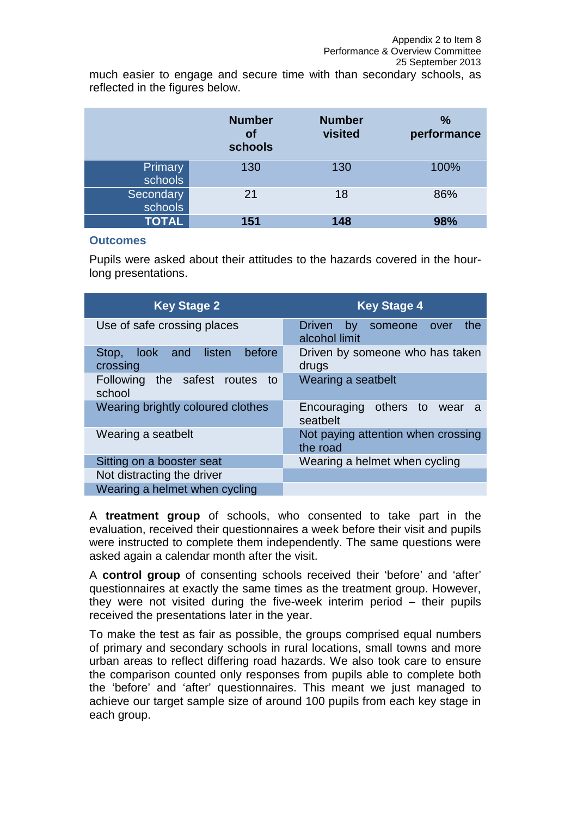much easier to engage and secure time with than secondary schools, as reflected in the figures below.

|                      | <b>Number</b><br><b>of</b><br>schools | <b>Number</b><br>visited | $\%$<br>performance |
|----------------------|---------------------------------------|--------------------------|---------------------|
| Primary<br>schools   | 130                                   | 130                      | 100%                |
| Secondary<br>schools | 21                                    | 18                       | 86%                 |
| <b>TOTAL</b>         | 151                                   | 148                      | 98%                 |

#### **Outcomes**

Pupils were asked about their attitudes to the hazards covered in the hourlong presentations.

| <b>Key Stage 2</b>                             | <b>Key Stage 4</b>                                          |
|------------------------------------------------|-------------------------------------------------------------|
| Use of safe crossing places                    | the<br><b>Driven</b><br>by someone<br>over<br>alcohol limit |
| before<br>look and listen<br>Stop,<br>crossing | Driven by someone who has taken<br>drugs                    |
| Following the safest routes to<br>school       | Wearing a seatbelt                                          |
| Wearing brightly coloured clothes              | Encouraging others to wear a<br>seatbelt                    |
| Wearing a seatbelt                             | Not paying attention when crossing<br>the road              |
| Sitting on a booster seat                      | Wearing a helmet when cycling                               |
| Not distracting the driver                     |                                                             |
| Wearing a helmet when cycling                  |                                                             |

A **treatment group** of schools, who consented to take part in the evaluation, received their questionnaires a week before their visit and pupils were instructed to complete them independently. The same questions were asked again a calendar month after the visit.

A **control group** of consenting schools received their 'before' and 'after' questionnaires at exactly the same times as the treatment group. However, they were not visited during the five-week interim period – their pupils received the presentations later in the year.

To make the test as fair as possible, the groups comprised equal numbers of primary and secondary schools in rural locations, small towns and more urban areas to reflect differing road hazards. We also took care to ensure the comparison counted only responses from pupils able to complete both the 'before' and 'after' questionnaires. This meant we just managed to achieve our target sample size of around 100 pupils from each key stage in each group.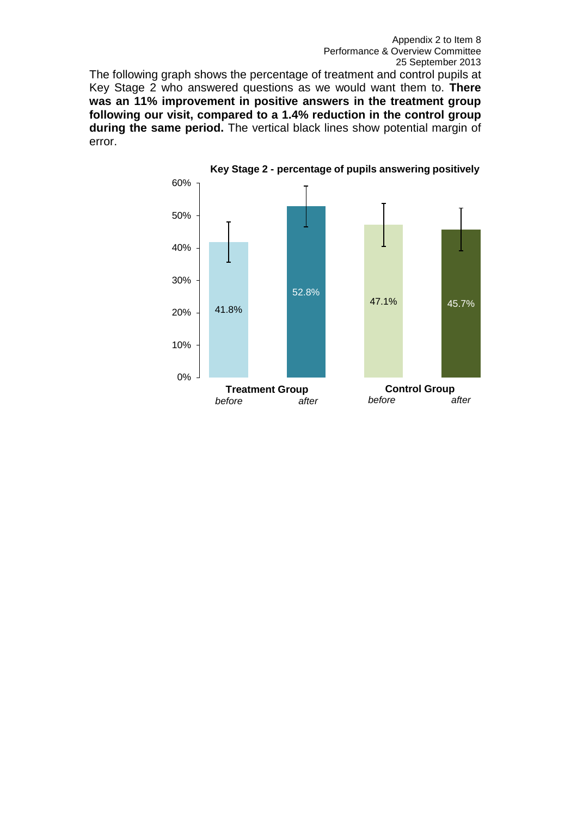The following graph shows the percentage of treatment and control pupils at Key Stage 2 who answered questions as we would want them to. **There was an 11% improvement in positive answers in the treatment group following our visit, compared to a 1.4% reduction in the control group during the same period.** The vertical black lines show potential margin of error.

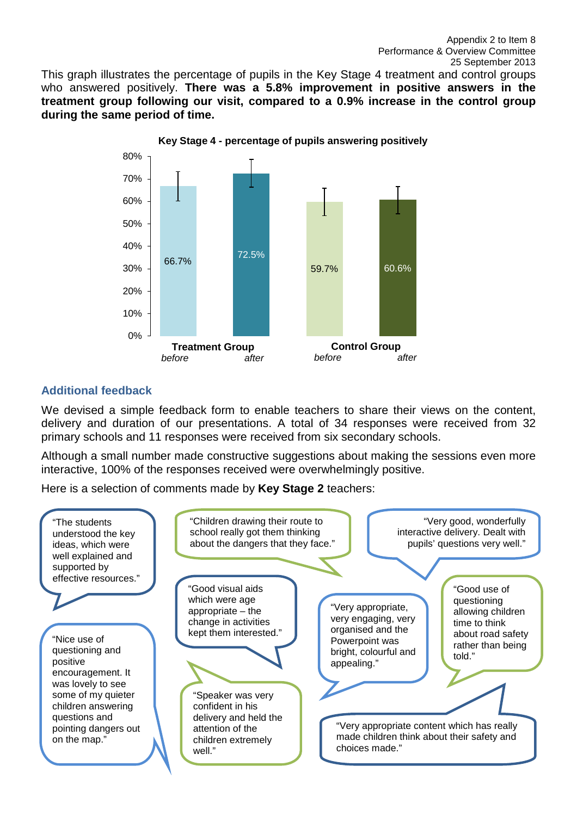This graph illustrates the percentage of pupils in the Key Stage 4 treatment and control groups who answered positively. **There was a 5.8% improvement in positive answers in the treatment group following our visit, compared to a 0.9% increase in the control group during the same period of time.** 



# **Additional feedback**

We devised a simple feedback form to enable teachers to share their views on the content, delivery and duration of our presentations. A total of 34 responses were received from 32 primary schools and 11 responses were received from six secondary schools.

Although a small number made constructive suggestions about making the sessions even more interactive, 100% of the responses received were overwhelmingly positive.

Here is a selection of comments made by **Key Stage 2** teachers: